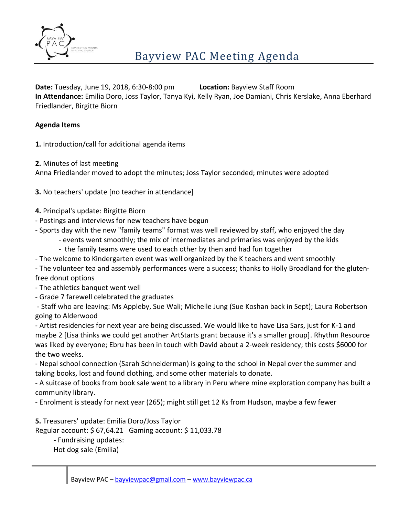

**Date:** Tuesday, June 19, 2018, 6:30-8:00 pm **Location:** Bayview Staff Room **In Attendance:** Emilia Doro, Joss Taylor, Tanya Kyi, Kelly Ryan, Joe Damiani, Chris Kerslake, Anna Eberhard Friedlander, Birgitte Biorn

## **Agenda Items**

**1.** Introduction/call for additional agenda items

**2.** Minutes of last meeting

Anna Friedlander moved to adopt the minutes; Joss Taylor seconded; minutes were adopted

**3.** No teachers' update [no teacher in attendance]

- **4.** Principal's update: Birgitte Biorn
- Postings and interviews for new teachers have begun
- Sports day with the new "family teams" format was well reviewed by staff, who enjoyed the day
	- events went smoothly; the mix of intermediates and primaries was enjoyed by the kids
	- the family teams were used to each other by then and had fun together
- The welcome to Kindergarten event was well organized by the K teachers and went smoothly

- The volunteer tea and assembly performances were a success; thanks to Holly Broadland for the glutenfree donut options

- The athletics banquet went well

- Grade 7 farewell celebrated the graduates

- Staff who are leaving: Ms Appleby, Sue Wali; Michelle Jung (Sue Koshan back in Sept); Laura Robertson going to Alderwood

- Artist residencies for next year are being discussed. We would like to have Lisa Sars, just for K-1 and maybe 2 [Lisa thinks we could get another ArtStarts grant because it's a smaller group]. Rhythm Resource was liked by everyone; Ebru has been in touch with David about a 2-week residency; this costs \$6000 for the two weeks.

- Nepal school connection (Sarah Schneiderman) is going to the school in Nepal over the summer and taking books, lost and found clothing, and some other materials to donate.

- A suitcase of books from book sale went to a library in Peru where mine exploration company has built a community library.

- Enrolment is steady for next year (265); might still get 12 Ks from Hudson, maybe a few fewer

**5.** Treasurers' update: Emilia Doro/Joss Taylor

Regular account: \$ 67,64.21 Gaming account: \$ 11,033.78

- Fundraising updates:

Hot dog sale (Emilia)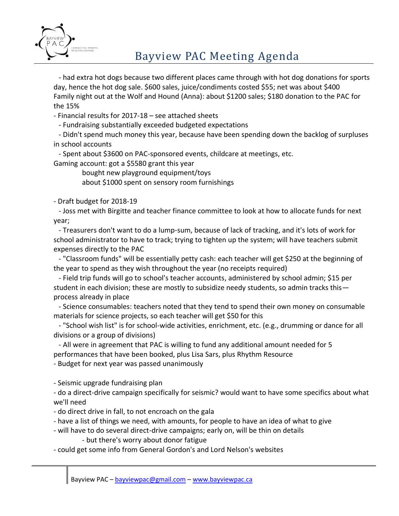

# Bayview PAC Meeting Agenda

- had extra hot dogs because two different places came through with hot dog donations for sports day, hence the hot dog sale. \$600 sales, juice/condiments costed \$55; net was about \$400 Family night out at the Wolf and Hound (Anna): about \$1200 sales; \$180 donation to the PAC for the 15%

- Financial results for 2017-18 – see attached sheets

- Fundraising substantially exceeded budgeted expectations

- Didn't spend much money this year, because have been spending down the backlog of surpluses in school accounts

- Spent about \$3600 on PAC-sponsored events, childcare at meetings, etc. Gaming account: got a \$5580 grant this year

bought new playground equipment/toys

about \$1000 spent on sensory room furnishings

- Draft budget for 2018-19

- Joss met with Birgitte and teacher finance committee to look at how to allocate funds for next year;

- Treasurers don't want to do a lump-sum, because of lack of tracking, and it's lots of work for school administrator to have to track; trying to tighten up the system; will have teachers submit expenses directly to the PAC

- "Classroom funds" will be essentially petty cash: each teacher will get \$250 at the beginning of the year to spend as they wish throughout the year (no receipts required)

- Field trip funds will go to school's teacher accounts, administered by school admin; \$15 per student in each division; these are mostly to subsidize needy students, so admin tracks this process already in place

- Science consumables: teachers noted that they tend to spend their own money on consumable materials for science projects, so each teacher will get \$50 for this

- "School wish list" is for school-wide activities, enrichment, etc. (e.g., drumming or dance for all divisions or a group of divisions)

- All were in agreement that PAC is willing to fund any additional amount needed for 5 performances that have been booked, plus Lisa Sars, plus Rhythm Resource

- Budget for next year was passed unanimously

- Seismic upgrade fundraising plan

- do a direct-drive campaign specifically for seismic? would want to have some specifics about what we'll need

- do direct drive in fall, to not encroach on the gala
- have a list of things we need, with amounts, for people to have an idea of what to give
- will have to do several direct-drive campaigns; early on, will be thin on details

- but there's worry about donor fatigue

- could get some info from General Gordon's and Lord Nelson's websites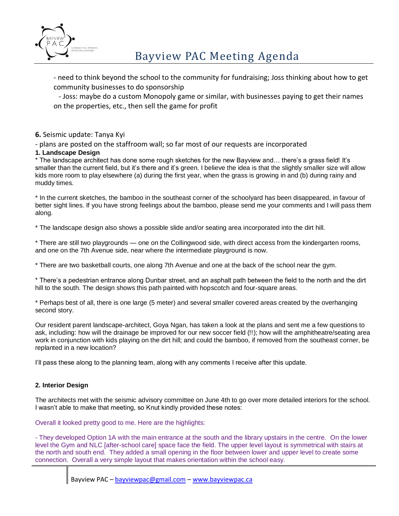

- need to think beyond the school to the community for fundraising; Joss thinking about how to get community businesses to do sponsorship

- Joss: maybe do a custom Monopoly game or similar, with businesses paying to get their names on the properties, etc., then sell the game for profit

### **6.** Seismic update: Tanya Kyi

- plans are posted on the staffroom wall; so far most of our requests are incorporated

### **1. Landscape Design**

\* The landscape architect has done some rough sketches for the new Bayview and… there's a grass field! It's smaller than the current field, but it's there and it's green. I believe the idea is that the slightly smaller size will allow kids more room to play elsewhere (a) during the first year, when the grass is growing in and (b) during rainy and muddy times.

\* In the current sketches, the bamboo in the southeast corner of the schoolyard has been disappeared, in favour of better sight lines. If you have strong feelings about the bamboo, please send me your comments and I will pass them along.

\* The landscape design also shows a possible slide and/or seating area incorporated into the dirt hill.

\* There are still two playgrounds — one on the Collingwood side, with direct access from the kindergarten rooms, and one on the 7th Avenue side, near where the intermediate playground is now.

\* There are two basketball courts, one along 7th Avenue and one at the back of the school near the gym.

\* There's a pedestrian entrance along Dunbar street, and an asphalt path between the field to the north and the dirt hill to the south. The design shows this path painted with hopscotch and four-square areas.

\* Perhaps best of all, there is one large (5 meter) and several smaller covered areas created by the overhanging second story.

Our resident parent landscape-architect, Goya Ngan, has taken a look at the plans and sent me a few questions to ask, including: how will the drainage be improved for our new soccer field (!!); how will the amphitheatre/seating area work in conjunction with kids playing on the dirt hill; and could the bamboo, if removed from the southeast corner, be replanted in a new location?

I'll pass these along to the planning team, along with any comments I receive after this update.

### **2. Interior Design**

The architects met with the seismic advisory committee on June 4th to go over more detailed interiors for the school. I wasn't able to make that meeting, so Knut kindly provided these notes:

Overall it looked pretty good to me. Here are the highlights:

- They developed Option 1A with the main entrance at the south and the library upstairs in the centre. On the lower level the Gym and NLC [after-school care] space face the field. The upper level layout is symmetrical with stairs at the north and south end. They added a small opening in the floor between lower and upper level to create some connection. Overall a very simple layout that makes orientation within the school easy.